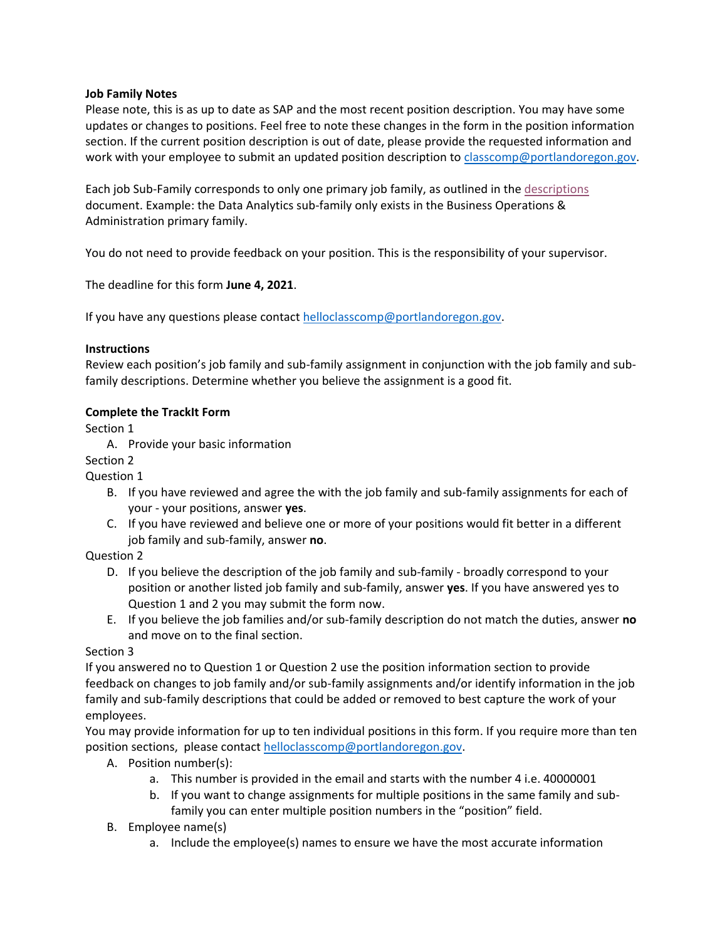# **Job Family Notes**

Please note, this is as up to date as SAP and the most recent position description. You may have some updates or changes to positions. Feel free to note these changes in the form in the position information section. If the current position description is out of date, please provide the requested information and work with your employee to submit an updated position description to [classcomp@portlandoregon.gov.](mailto:classcomp@portlandoregon.gov)

Each job Sub-Family corresponds to only one primary job family, as outlined in the [descriptions](https://www.portlandoregon.gov/bhr/article/783483) document. Example: the Data Analytics sub-family only exists in the Business Operations & Administration primary family.

You do not need to provide feedback on your position. This is the responsibility of your supervisor.

The deadline for this form **June 4, 2021**.

If you have any questions please contact [helloclasscomp@portlandoregon.gov.](mailto:helloclasscomp@portlandoregon.gov)

# **Instructions**

Review each position's job family and sub-family assignment in conjunction with the job family and subfamily descriptions. Determine whether you believe the assignment is a good fit.

# **Complete the TrackIt Form**

Section 1

A. Provide your basic information

Section 2

Question 1

- B. If you have reviewed and agree the with the job family and sub-family assignments for each of your - your positions, answer **yes**.
- C. If you have reviewed and believe one or more of your positions would fit better in a different job family and sub-family, answer **no**.

# Question 2

- D. If you believe the description of the job family and sub-family broadly correspond to your position or another listed job family and sub-family, answer **yes**. If you have answered yes to Question 1 and 2 you may submit the form now.
- E. If you believe the job families and/or sub-family description do not match the duties, answer **no** and move on to the final section.

# Section 3

If you answered no to Question 1 or Question 2 use the position information section to provide feedback on changes to job family and/or sub-family assignments and/or identify information in the job family and sub-family descriptions that could be added or removed to best capture the work of your employees.

You may provide information for up to ten individual positions in this form. If you require more than ten position sections, please contact [helloclasscomp@portlandoregon.gov.](mailto:helloclasscomp@portlandoregon.gov)

- A. Position number(s):
	- a. This number is provided in the email and starts with the number 4 i.e. 40000001
	- b. If you want to change assignments for multiple positions in the same family and subfamily you can enter multiple position numbers in the "position" field.
- B. Employee name(s)
	- a. Include the employee(s) names to ensure we have the most accurate information